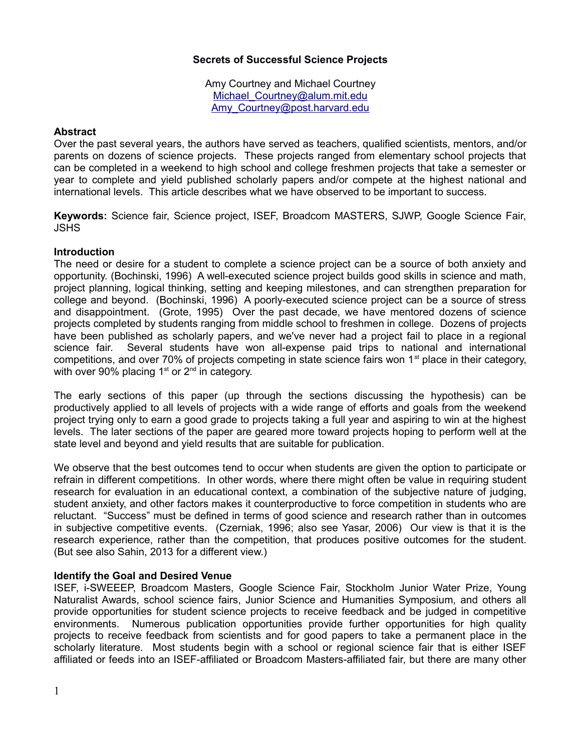# **Secrets of Successful Science Projects**

Amy Courtney and Michael Courtney Michael Courtney@alum.mit.edu [Amy\\_Courtney@post.harvard.edu](mailto:Amy_Courtney@post.harvard.edu)

### **Abstract**

Over the past several years, the authors have served as teachers, qualified scientists, mentors, and/or parents on dozens of science projects. These projects ranged from elementary school projects that can be completed in a weekend to high school and college freshmen projects that take a semester or year to complete and yield published scholarly papers and/or compete at the highest national and international levels. This article describes what we have observed to be important to success.

**Keywords:** Science fair, Science project, ISEF, Broadcom MASTERS, SJWP, Google Science Fair, JSHS

## **Introduction**

The need or desire for a student to complete a science project can be a source of both anxiety and opportunity. (Bochinski, 1996) A well-executed science project builds good skills in science and math, project planning, logical thinking, setting and keeping milestones, and can strengthen preparation for college and beyond. (Bochinski, 1996) A poorly-executed science project can be a source of stress and disappointment. (Grote, 1995) Over the past decade, we have mentored dozens of science projects completed by students ranging from middle school to freshmen in college. Dozens of projects have been published as scholarly papers, and we've never had a project fail to place in a regional science fair. Several students have won all-expense paid trips to national and international competitions, and over 70% of projects competing in state science fairs won 1<sup>st</sup> place in their category, with over 90% placing  $1<sup>st</sup>$  or  $2<sup>nd</sup>$  in category.

The early sections of this paper (up through the sections discussing the hypothesis) can be productively applied to all levels of projects with a wide range of efforts and goals from the weekend project trying only to earn a good grade to projects taking a full year and aspiring to win at the highest levels. The later sections of the paper are geared more toward projects hoping to perform well at the state level and beyond and yield results that are suitable for publication.

We observe that the best outcomes tend to occur when students are given the option to participate or refrain in different competitions. In other words, where there might often be value in requiring student research for evaluation in an educational context, a combination of the subjective nature of judging, student anxiety, and other factors makes it counterproductive to force competition in students who are reluctant. "Success" must be defined in terms of good science and research rather than in outcomes in subjective competitive events. (Czerniak, 1996; also see Yasar, 2006) Our view is that it is the research experience, rather than the competition, that produces positive outcomes for the student. (But see also Sahin, 2013 for a different view.)

### **Identify the Goal and Desired Venue**

ISEF, i-SWEEEP, Broadcom Masters, Google Science Fair, Stockholm Junior Water Prize, Young Naturalist Awards, school science fairs, Junior Science and Humanities Symposium, and others all provide opportunities for student science projects to receive feedback and be judged in competitive environments. Numerous publication opportunities provide further opportunities for high quality projects to receive feedback from scientists and for good papers to take a permanent place in the scholarly literature. Most students begin with a school or regional science fair that is either ISEF affiliated or feeds into an ISEF-affiliated or Broadcom Masters-affiliated fair, but there are many other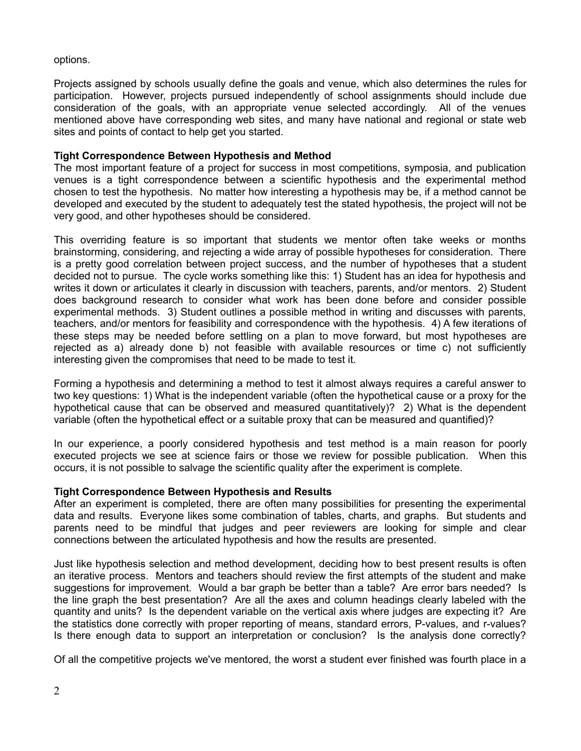options.

Projects assigned by schools usually define the goals and venue, which also determines the rules for participation. However, projects pursued independently of school assignments should include due consideration of the goals, with an appropriate venue selected accordingly. All of the venues mentioned above have corresponding web sites, and many have national and regional or state web sites and points of contact to help get you started.

# **Tight Correspondence Between Hypothesis and Method**

The most important feature of a project for success in most competitions, symposia, and publication venues is a tight correspondence between a scientific hypothesis and the experimental method chosen to test the hypothesis. No matter how interesting a hypothesis may be, if a method cannot be developed and executed by the student to adequately test the stated hypothesis, the project will not be very good, and other hypotheses should be considered.

This overriding feature is so important that students we mentor often take weeks or months brainstorming, considering, and rejecting a wide array of possible hypotheses for consideration. There is a pretty good correlation between project success, and the number of hypotheses that a student decided not to pursue. The cycle works something like this: 1) Student has an idea for hypothesis and writes it down or articulates it clearly in discussion with teachers, parents, and/or mentors. 2) Student does background research to consider what work has been done before and consider possible experimental methods. 3) Student outlines a possible method in writing and discusses with parents, teachers, and/or mentors for feasibility and correspondence with the hypothesis. 4) A few iterations of these steps may be needed before settling on a plan to move forward, but most hypotheses are rejected as a) already done b) not feasible with available resources or time c) not sufficiently interesting given the compromises that need to be made to test it.

Forming a hypothesis and determining a method to test it almost always requires a careful answer to two key questions: 1) What is the independent variable (often the hypothetical cause or a proxy for the hypothetical cause that can be observed and measured quantitatively)? 2) What is the dependent variable (often the hypothetical effect or a suitable proxy that can be measured and quantified)?

In our experience, a poorly considered hypothesis and test method is a main reason for poorly executed projects we see at science fairs or those we review for possible publication. When this occurs, it is not possible to salvage the scientific quality after the experiment is complete.

# **Tight Correspondence Between Hypothesis and Results**

After an experiment is completed, there are often many possibilities for presenting the experimental data and results. Everyone likes some combination of tables, charts, and graphs. But students and parents need to be mindful that judges and peer reviewers are looking for simple and clear connections between the articulated hypothesis and how the results are presented.

Just like hypothesis selection and method development, deciding how to best present results is often an iterative process. Mentors and teachers should review the first attempts of the student and make suggestions for improvement. Would a bar graph be better than a table? Are error bars needed? Is the line graph the best presentation? Are all the axes and column headings clearly labeled with the quantity and units? Is the dependent variable on the vertical axis where judges are expecting it? Are the statistics done correctly with proper reporting of means, standard errors, P-values, and r-values? Is there enough data to support an interpretation or conclusion? Is the analysis done correctly?

Of all the competitive projects we've mentored, the worst a student ever finished was fourth place in a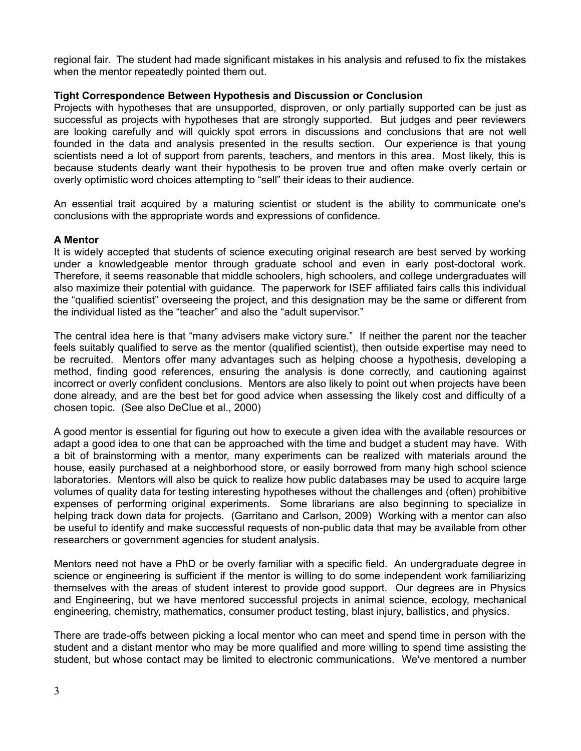regional fair. The student had made significant mistakes in his analysis and refused to fix the mistakes when the mentor repeatedly pointed them out.

# **Tight Correspondence Between Hypothesis and Discussion or Conclusion**

Projects with hypotheses that are unsupported, disproven, or only partially supported can be just as successful as projects with hypotheses that are strongly supported. But judges and peer reviewers are looking carefully and will quickly spot errors in discussions and conclusions that are not well founded in the data and analysis presented in the results section. Our experience is that young scientists need a lot of support from parents, teachers, and mentors in this area. Most likely, this is because students dearly want their hypothesis to be proven true and often make overly certain or overly optimistic word choices attempting to "sell" their ideas to their audience.

An essential trait acquired by a maturing scientist or student is the ability to communicate one's conclusions with the appropriate words and expressions of confidence.

### **A Mentor**

It is widely accepted that students of science executing original research are best served by working under a knowledgeable mentor through graduate school and even in early post-doctoral work. Therefore, it seems reasonable that middle schoolers, high schoolers, and college undergraduates will also maximize their potential with guidance. The paperwork for ISEF affiliated fairs calls this individual the "qualified scientist" overseeing the project, and this designation may be the same or different from the individual listed as the "teacher" and also the "adult supervisor."

The central idea here is that "many advisers make victory sure." If neither the parent nor the teacher feels suitably qualified to serve as the mentor (qualified scientist), then outside expertise may need to be recruited. Mentors offer many advantages such as helping choose a hypothesis, developing a method, finding good references, ensuring the analysis is done correctly, and cautioning against incorrect or overly confident conclusions. Mentors are also likely to point out when projects have been done already, and are the best bet for good advice when assessing the likely cost and difficulty of a chosen topic. (See also DeClue et al., 2000)

A good mentor is essential for figuring out how to execute a given idea with the available resources or adapt a good idea to one that can be approached with the time and budget a student may have. With a bit of brainstorming with a mentor, many experiments can be realized with materials around the house, easily purchased at a neighborhood store, or easily borrowed from many high school science laboratories. Mentors will also be quick to realize how public databases may be used to acquire large volumes of quality data for testing interesting hypotheses without the challenges and (often) prohibitive expenses of performing original experiments. Some librarians are also beginning to specialize in helping track down data for projects. (Garritano and Carlson, 2009) Working with a mentor can also be useful to identify and make successful requests of non-public data that may be available from other researchers or government agencies for student analysis.

Mentors need not have a PhD or be overly familiar with a specific field. An undergraduate degree in science or engineering is sufficient if the mentor is willing to do some independent work familiarizing themselves with the areas of student interest to provide good support. Our degrees are in Physics and Engineering, but we have mentored successful projects in animal science, ecology, mechanical engineering, chemistry, mathematics, consumer product testing, blast injury, ballistics, and physics.

There are trade-offs between picking a local mentor who can meet and spend time in person with the student and a distant mentor who may be more qualified and more willing to spend time assisting the student, but whose contact may be limited to electronic communications. We've mentored a number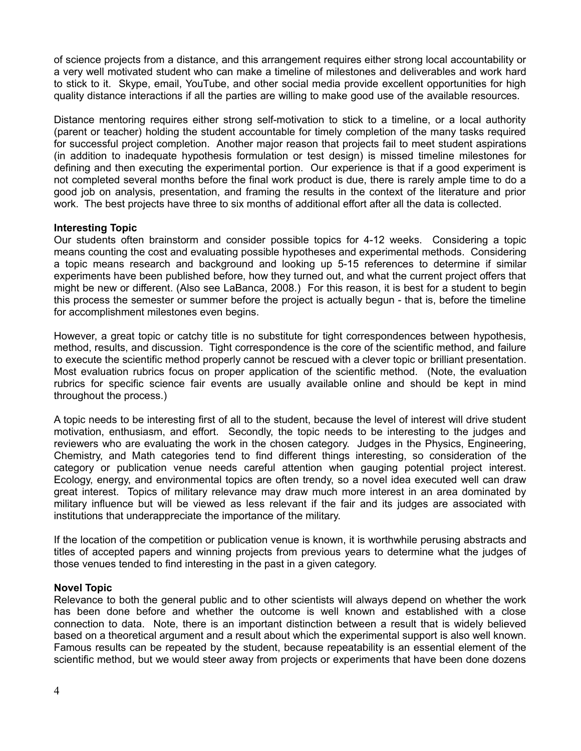of science projects from a distance, and this arrangement requires either strong local accountability or a very well motivated student who can make a timeline of milestones and deliverables and work hard to stick to it. Skype, email, YouTube, and other social media provide excellent opportunities for high quality distance interactions if all the parties are willing to make good use of the available resources.

Distance mentoring requires either strong self-motivation to stick to a timeline, or a local authority (parent or teacher) holding the student accountable for timely completion of the many tasks required for successful project completion. Another major reason that projects fail to meet student aspirations (in addition to inadequate hypothesis formulation or test design) is missed timeline milestones for defining and then executing the experimental portion. Our experience is that if a good experiment is not completed several months before the final work product is due, there is rarely ample time to do a good job on analysis, presentation, and framing the results in the context of the literature and prior work. The best projects have three to six months of additional effort after all the data is collected.

## **Interesting Topic**

Our students often brainstorm and consider possible topics for 4-12 weeks. Considering a topic means counting the cost and evaluating possible hypotheses and experimental methods. Considering a topic means research and background and looking up 5-15 references to determine if similar experiments have been published before, how they turned out, and what the current project offers that might be new or different. (Also see LaBanca, 2008.) For this reason, it is best for a student to begin this process the semester or summer before the project is actually begun - that is, before the timeline for accomplishment milestones even begins.

However, a great topic or catchy title is no substitute for tight correspondences between hypothesis, method, results, and discussion. Tight correspondence is the core of the scientific method, and failure to execute the scientific method properly cannot be rescued with a clever topic or brilliant presentation. Most evaluation rubrics focus on proper application of the scientific method. (Note, the evaluation rubrics for specific science fair events are usually available online and should be kept in mind throughout the process.)

A topic needs to be interesting first of all to the student, because the level of interest will drive student motivation, enthusiasm, and effort. Secondly, the topic needs to be interesting to the judges and reviewers who are evaluating the work in the chosen category. Judges in the Physics, Engineering, Chemistry, and Math categories tend to find different things interesting, so consideration of the category or publication venue needs careful attention when gauging potential project interest. Ecology, energy, and environmental topics are often trendy, so a novel idea executed well can draw great interest. Topics of military relevance may draw much more interest in an area dominated by military influence but will be viewed as less relevant if the fair and its judges are associated with institutions that underappreciate the importance of the military.

If the location of the competition or publication venue is known, it is worthwhile perusing abstracts and titles of accepted papers and winning projects from previous years to determine what the judges of those venues tended to find interesting in the past in a given category.

# **Novel Topic**

Relevance to both the general public and to other scientists will always depend on whether the work has been done before and whether the outcome is well known and established with a close connection to data. Note, there is an important distinction between a result that is widely believed based on a theoretical argument and a result about which the experimental support is also well known. Famous results can be repeated by the student, because repeatability is an essential element of the scientific method, but we would steer away from projects or experiments that have been done dozens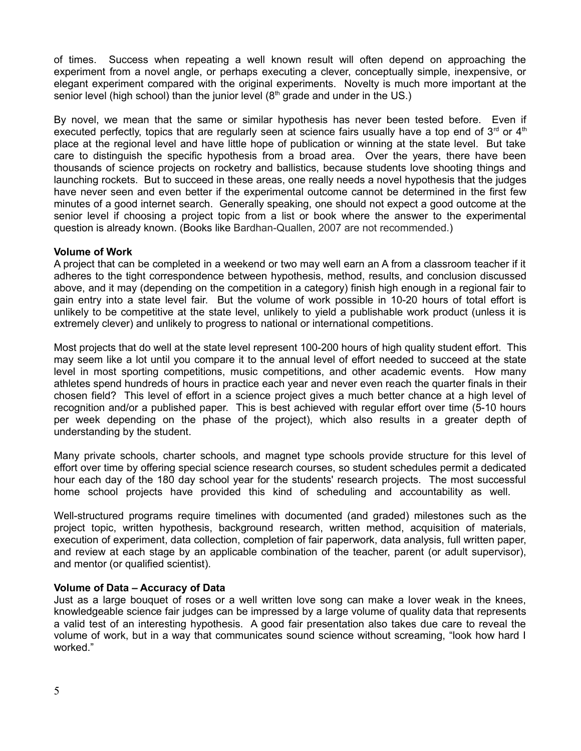of times. Success when repeating a well known result will often depend on approaching the experiment from a novel angle, or perhaps executing a clever, conceptually simple, inexpensive, or elegant experiment compared with the original experiments. Novelty is much more important at the senior level (high school) than the junior level  $(8<sup>th</sup>$  grade and under in the US.)

By novel, we mean that the same or similar hypothesis has never been tested before. Even if executed perfectly, topics that are regularly seen at science fairs usually have a top end of  $3<sup>rd</sup>$  or  $4<sup>th</sup>$ place at the regional level and have little hope of publication or winning at the state level. But take care to distinguish the specific hypothesis from a broad area. Over the years, there have been thousands of science projects on rocketry and ballistics, because students love shooting things and launching rockets. But to succeed in these areas, one really needs a novel hypothesis that the judges have never seen and even better if the experimental outcome cannot be determined in the first few minutes of a good internet search. Generally speaking, one should not expect a good outcome at the senior level if choosing a project topic from a list or book where the answer to the experimental question is already known. (Books like Bardhan-Quallen, 2007 are not recommended.)

### **Volume of Work**

A project that can be completed in a weekend or two may well earn an A from a classroom teacher if it adheres to the tight correspondence between hypothesis, method, results, and conclusion discussed above, and it may (depending on the competition in a category) finish high enough in a regional fair to gain entry into a state level fair. But the volume of work possible in 10-20 hours of total effort is unlikely to be competitive at the state level, unlikely to yield a publishable work product (unless it is extremely clever) and unlikely to progress to national or international competitions.

Most projects that do well at the state level represent 100-200 hours of high quality student effort. This may seem like a lot until you compare it to the annual level of effort needed to succeed at the state level in most sporting competitions, music competitions, and other academic events. How many athletes spend hundreds of hours in practice each year and never even reach the quarter finals in their chosen field? This level of effort in a science project gives a much better chance at a high level of recognition and/or a published paper. This is best achieved with regular effort over time (5-10 hours per week depending on the phase of the project), which also results in a greater depth of understanding by the student.

Many private schools, charter schools, and magnet type schools provide structure for this level of effort over time by offering special science research courses, so student schedules permit a dedicated hour each day of the 180 day school year for the students' research projects. The most successful home school projects have provided this kind of scheduling and accountability as well.

Well-structured programs require timelines with documented (and graded) milestones such as the project topic, written hypothesis, background research, written method, acquisition of materials, execution of experiment, data collection, completion of fair paperwork, data analysis, full written paper, and review at each stage by an applicable combination of the teacher, parent (or adult supervisor), and mentor (or qualified scientist).

### **Volume of Data – Accuracy of Data**

Just as a large bouquet of roses or a well written love song can make a lover weak in the knees, knowledgeable science fair judges can be impressed by a large volume of quality data that represents a valid test of an interesting hypothesis. A good fair presentation also takes due care to reveal the volume of work, but in a way that communicates sound science without screaming, "look how hard I worked."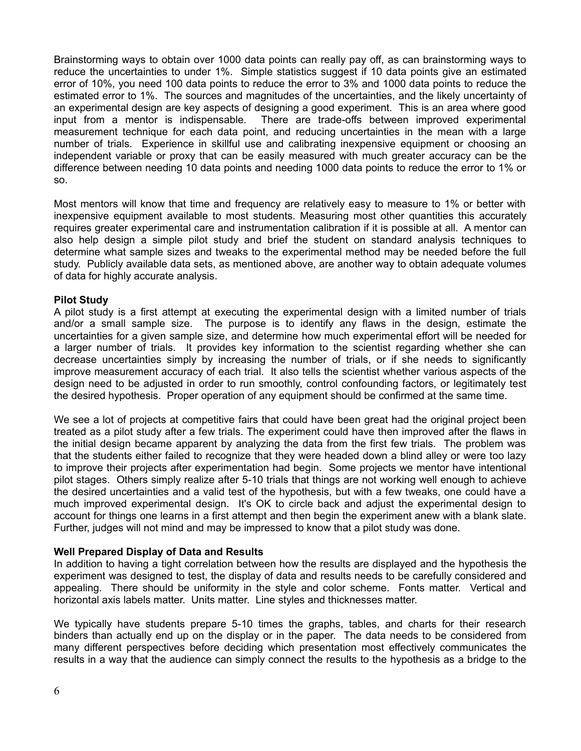Brainstorming ways to obtain over 1000 data points can really pay off, as can brainstorming ways to reduce the uncertainties to under 1%. Simple statistics suggest if 10 data points give an estimated error of 10%, you need 100 data points to reduce the error to 3% and 1000 data points to reduce the estimated error to 1%. The sources and magnitudes of the uncertainties, and the likely uncertainty of an experimental design are key aspects of designing a good experiment. This is an area where good input from a mentor is indispensable. There are trade-offs between improved experimental measurement technique for each data point, and reducing uncertainties in the mean with a large number of trials. Experience in skillful use and calibrating inexpensive equipment or choosing an independent variable or proxy that can be easily measured with much greater accuracy can be the difference between needing 10 data points and needing 1000 data points to reduce the error to 1% or so.

Most mentors will know that time and frequency are relatively easy to measure to 1% or better with inexpensive equipment available to most students. Measuring most other quantities this accurately requires greater experimental care and instrumentation calibration if it is possible at all. A mentor can also help design a simple pilot study and brief the student on standard analysis techniques to determine what sample sizes and tweaks to the experimental method may be needed before the full study. Publicly available data sets, as mentioned above, are another way to obtain adequate volumes of data for highly accurate analysis.

## **Pilot Study**

A pilot study is a first attempt at executing the experimental design with a limited number of trials and/or a small sample size. The purpose is to identify any flaws in the design, estimate the uncertainties for a given sample size, and determine how much experimental effort will be needed for a larger number of trials. It provides key information to the scientist regarding whether she can decrease uncertainties simply by increasing the number of trials, or if she needs to significantly improve measurement accuracy of each trial. It also tells the scientist whether various aspects of the design need to be adjusted in order to run smoothly, control confounding factors, or legitimately test the desired hypothesis. Proper operation of any equipment should be confirmed at the same time.

We see a lot of projects at competitive fairs that could have been great had the original project been treated as a pilot study after a few trials. The experiment could have then improved after the flaws in the initial design became apparent by analyzing the data from the first few trials. The problem was that the students either failed to recognize that they were headed down a blind alley or were too lazy to improve their projects after experimentation had begin. Some projects we mentor have intentional pilot stages. Others simply realize after 5-10 trials that things are not working well enough to achieve the desired uncertainties and a valid test of the hypothesis, but with a few tweaks, one could have a much improved experimental design. It's OK to circle back and adjust the experimental design to account for things one learns in a first attempt and then begin the experiment anew with a blank slate. Further, judges will not mind and may be impressed to know that a pilot study was done.

### **Well Prepared Display of Data and Results**

In addition to having a tight correlation between how the results are displayed and the hypothesis the experiment was designed to test, the display of data and results needs to be carefully considered and appealing. There should be uniformity in the style and color scheme. Fonts matter. Vertical and horizontal axis labels matter. Units matter. Line styles and thicknesses matter.

We typically have students prepare 5-10 times the graphs, tables, and charts for their research binders than actually end up on the display or in the paper. The data needs to be considered from many different perspectives before deciding which presentation most effectively communicates the results in a way that the audience can simply connect the results to the hypothesis as a bridge to the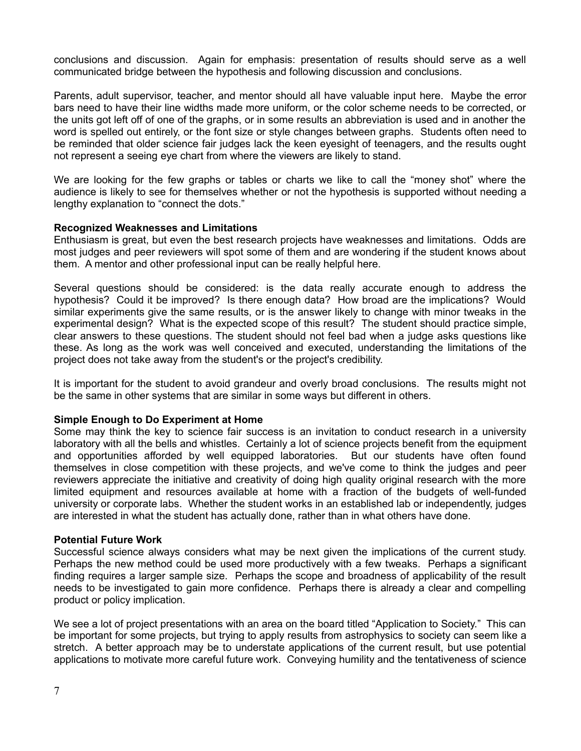conclusions and discussion. Again for emphasis: presentation of results should serve as a well communicated bridge between the hypothesis and following discussion and conclusions.

Parents, adult supervisor, teacher, and mentor should all have valuable input here. Maybe the error bars need to have their line widths made more uniform, or the color scheme needs to be corrected, or the units got left off of one of the graphs, or in some results an abbreviation is used and in another the word is spelled out entirely, or the font size or style changes between graphs. Students often need to be reminded that older science fair judges lack the keen eyesight of teenagers, and the results ought not represent a seeing eye chart from where the viewers are likely to stand.

We are looking for the few graphs or tables or charts we like to call the "money shot" where the audience is likely to see for themselves whether or not the hypothesis is supported without needing a lengthy explanation to "connect the dots."

### **Recognized Weaknesses and Limitations**

Enthusiasm is great, but even the best research projects have weaknesses and limitations. Odds are most judges and peer reviewers will spot some of them and are wondering if the student knows about them. A mentor and other professional input can be really helpful here.

Several questions should be considered: is the data really accurate enough to address the hypothesis? Could it be improved? Is there enough data? How broad are the implications? Would similar experiments give the same results, or is the answer likely to change with minor tweaks in the experimental design? What is the expected scope of this result? The student should practice simple, clear answers to these questions. The student should not feel bad when a judge asks questions like these. As long as the work was well conceived and executed, understanding the limitations of the project does not take away from the student's or the project's credibility.

It is important for the student to avoid grandeur and overly broad conclusions. The results might not be the same in other systems that are similar in some ways but different in others.

#### **Simple Enough to Do Experiment at Home**

Some may think the key to science fair success is an invitation to conduct research in a university laboratory with all the bells and whistles. Certainly a lot of science projects benefit from the equipment and opportunities afforded by well equipped laboratories. But our students have often found themselves in close competition with these projects, and we've come to think the judges and peer reviewers appreciate the initiative and creativity of doing high quality original research with the more limited equipment and resources available at home with a fraction of the budgets of well-funded university or corporate labs. Whether the student works in an established lab or independently, judges are interested in what the student has actually done, rather than in what others have done.

#### **Potential Future Work**

Successful science always considers what may be next given the implications of the current study. Perhaps the new method could be used more productively with a few tweaks. Perhaps a significant finding requires a larger sample size. Perhaps the scope and broadness of applicability of the result needs to be investigated to gain more confidence. Perhaps there is already a clear and compelling product or policy implication.

We see a lot of project presentations with an area on the board titled "Application to Society." This can be important for some projects, but trying to apply results from astrophysics to society can seem like a stretch. A better approach may be to understate applications of the current result, but use potential applications to motivate more careful future work. Conveying humility and the tentativeness of science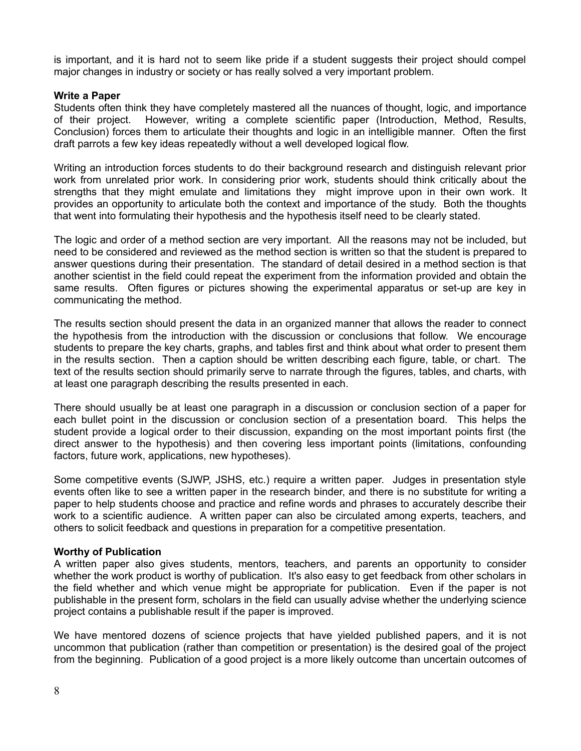is important, and it is hard not to seem like pride if a student suggests their project should compel major changes in industry or society or has really solved a very important problem.

### **Write a Paper**

Students often think they have completely mastered all the nuances of thought, logic, and importance of their project. However, writing a complete scientific paper (Introduction, Method, Results, Conclusion) forces them to articulate their thoughts and logic in an intelligible manner. Often the first draft parrots a few key ideas repeatedly without a well developed logical flow.

Writing an introduction forces students to do their background research and distinguish relevant prior work from unrelated prior work. In considering prior work, students should think critically about the strengths that they might emulate and limitations they might improve upon in their own work. It provides an opportunity to articulate both the context and importance of the study. Both the thoughts that went into formulating their hypothesis and the hypothesis itself need to be clearly stated.

The logic and order of a method section are very important. All the reasons may not be included, but need to be considered and reviewed as the method section is written so that the student is prepared to answer questions during their presentation. The standard of detail desired in a method section is that another scientist in the field could repeat the experiment from the information provided and obtain the same results. Often figures or pictures showing the experimental apparatus or set-up are key in communicating the method.

The results section should present the data in an organized manner that allows the reader to connect the hypothesis from the introduction with the discussion or conclusions that follow. We encourage students to prepare the key charts, graphs, and tables first and think about what order to present them in the results section. Then a caption should be written describing each figure, table, or chart. The text of the results section should primarily serve to narrate through the figures, tables, and charts, with at least one paragraph describing the results presented in each.

There should usually be at least one paragraph in a discussion or conclusion section of a paper for each bullet point in the discussion or conclusion section of a presentation board. This helps the student provide a logical order to their discussion, expanding on the most important points first (the direct answer to the hypothesis) and then covering less important points (limitations, confounding factors, future work, applications, new hypotheses).

Some competitive events (SJWP, JSHS, etc.) require a written paper. Judges in presentation style events often like to see a written paper in the research binder, and there is no substitute for writing a paper to help students choose and practice and refine words and phrases to accurately describe their work to a scientific audience. A written paper can also be circulated among experts, teachers, and others to solicit feedback and questions in preparation for a competitive presentation.

### **Worthy of Publication**

A written paper also gives students, mentors, teachers, and parents an opportunity to consider whether the work product is worthy of publication. It's also easy to get feedback from other scholars in the field whether and which venue might be appropriate for publication. Even if the paper is not publishable in the present form, scholars in the field can usually advise whether the underlying science project contains a publishable result if the paper is improved.

We have mentored dozens of science projects that have yielded published papers, and it is not uncommon that publication (rather than competition or presentation) is the desired goal of the project from the beginning. Publication of a good project is a more likely outcome than uncertain outcomes of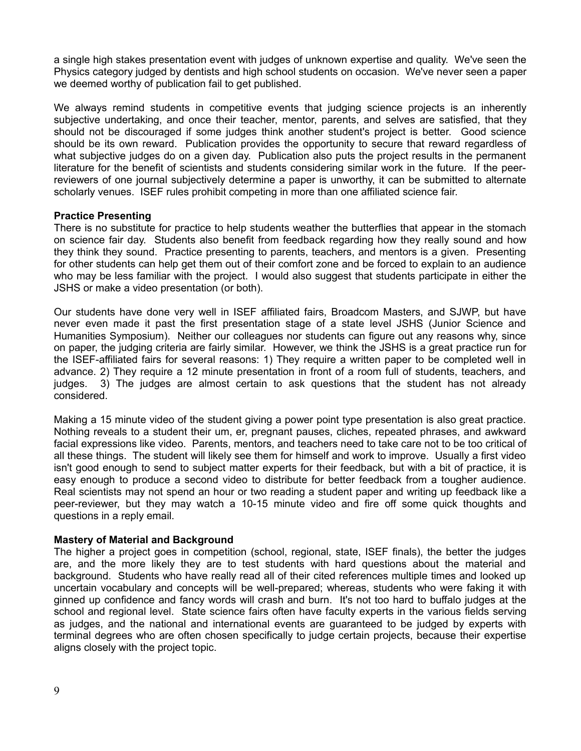a single high stakes presentation event with judges of unknown expertise and quality. We've seen the Physics category judged by dentists and high school students on occasion. We've never seen a paper we deemed worthy of publication fail to get published.

We always remind students in competitive events that judging science projects is an inherently subjective undertaking, and once their teacher, mentor, parents, and selves are satisfied, that they should not be discouraged if some judges think another student's project is better. Good science should be its own reward. Publication provides the opportunity to secure that reward regardless of what subjective judges do on a given day. Publication also puts the project results in the permanent literature for the benefit of scientists and students considering similar work in the future. If the peerreviewers of one journal subjectively determine a paper is unworthy, it can be submitted to alternate scholarly venues. ISEF rules prohibit competing in more than one affiliated science fair.

#### **Practice Presenting**

There is no substitute for practice to help students weather the butterflies that appear in the stomach on science fair day. Students also benefit from feedback regarding how they really sound and how they think they sound. Practice presenting to parents, teachers, and mentors is a given. Presenting for other students can help get them out of their comfort zone and be forced to explain to an audience who may be less familiar with the project. I would also suggest that students participate in either the JSHS or make a video presentation (or both).

Our students have done very well in ISEF affiliated fairs, Broadcom Masters, and SJWP, but have never even made it past the first presentation stage of a state level JSHS (Junior Science and Humanities Symposium). Neither our colleagues nor students can figure out any reasons why, since on paper, the judging criteria are fairly similar. However, we think the JSHS is a great practice run for the ISEF-affiliated fairs for several reasons: 1) They require a written paper to be completed well in advance. 2) They require a 12 minute presentation in front of a room full of students, teachers, and judges. 3) The judges are almost certain to ask questions that the student has not already considered.

Making a 15 minute video of the student giving a power point type presentation is also great practice. Nothing reveals to a student their um, er, pregnant pauses, cliches, repeated phrases, and awkward facial expressions like video. Parents, mentors, and teachers need to take care not to be too critical of all these things. The student will likely see them for himself and work to improve. Usually a first video isn't good enough to send to subject matter experts for their feedback, but with a bit of practice, it is easy enough to produce a second video to distribute for better feedback from a tougher audience. Real scientists may not spend an hour or two reading a student paper and writing up feedback like a peer-reviewer, but they may watch a 10-15 minute video and fire off some quick thoughts and questions in a reply email.

#### **Mastery of Material and Background**

The higher a project goes in competition (school, regional, state, ISEF finals), the better the judges are, and the more likely they are to test students with hard questions about the material and background. Students who have really read all of their cited references multiple times and looked up uncertain vocabulary and concepts will be well-prepared; whereas, students who were faking it with ginned up confidence and fancy words will crash and burn. It's not too hard to buffalo judges at the school and regional level. State science fairs often have faculty experts in the various fields serving as judges, and the national and international events are guaranteed to be judged by experts with terminal degrees who are often chosen specifically to judge certain projects, because their expertise aligns closely with the project topic.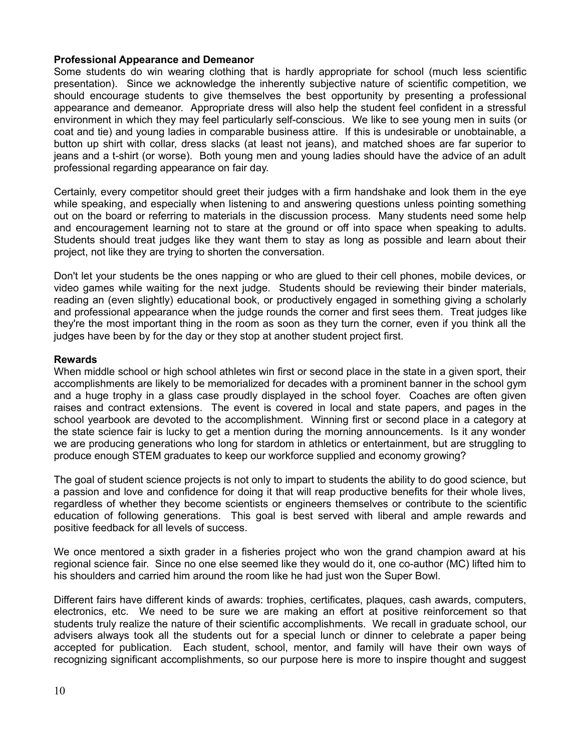## **Professional Appearance and Demeanor**

Some students do win wearing clothing that is hardly appropriate for school (much less scientific presentation). Since we acknowledge the inherently subjective nature of scientific competition, we should encourage students to give themselves the best opportunity by presenting a professional appearance and demeanor. Appropriate dress will also help the student feel confident in a stressful environment in which they may feel particularly self-conscious. We like to see young men in suits (or coat and tie) and young ladies in comparable business attire. If this is undesirable or unobtainable, a button up shirt with collar, dress slacks (at least not jeans), and matched shoes are far superior to jeans and a t-shirt (or worse). Both young men and young ladies should have the advice of an adult professional regarding appearance on fair day.

Certainly, every competitor should greet their judges with a firm handshake and look them in the eye while speaking, and especially when listening to and answering questions unless pointing something out on the board or referring to materials in the discussion process. Many students need some help and encouragement learning not to stare at the ground or off into space when speaking to adults. Students should treat judges like they want them to stay as long as possible and learn about their project, not like they are trying to shorten the conversation.

Don't let your students be the ones napping or who are glued to their cell phones, mobile devices, or video games while waiting for the next judge. Students should be reviewing their binder materials, reading an (even slightly) educational book, or productively engaged in something giving a scholarly and professional appearance when the judge rounds the corner and first sees them. Treat judges like they're the most important thing in the room as soon as they turn the corner, even if you think all the judges have been by for the day or they stop at another student project first.

## **Rewards**

When middle school or high school athletes win first or second place in the state in a given sport, their accomplishments are likely to be memorialized for decades with a prominent banner in the school gym and a huge trophy in a glass case proudly displayed in the school foyer. Coaches are often given raises and contract extensions. The event is covered in local and state papers, and pages in the school yearbook are devoted to the accomplishment. Winning first or second place in a category at the state science fair is lucky to get a mention during the morning announcements. Is it any wonder we are producing generations who long for stardom in athletics or entertainment, but are struggling to produce enough STEM graduates to keep our workforce supplied and economy growing?

The goal of student science projects is not only to impart to students the ability to do good science, but a passion and love and confidence for doing it that will reap productive benefits for their whole lives, regardless of whether they become scientists or engineers themselves or contribute to the scientific education of following generations. This goal is best served with liberal and ample rewards and positive feedback for all levels of success.

We once mentored a sixth grader in a fisheries project who won the grand champion award at his regional science fair. Since no one else seemed like they would do it, one co-author (MC) lifted him to his shoulders and carried him around the room like he had just won the Super Bowl.

Different fairs have different kinds of awards: trophies, certificates, plaques, cash awards, computers, electronics, etc. We need to be sure we are making an effort at positive reinforcement so that students truly realize the nature of their scientific accomplishments. We recall in graduate school, our advisers always took all the students out for a special lunch or dinner to celebrate a paper being accepted for publication. Each student, school, mentor, and family will have their own ways of recognizing significant accomplishments, so our purpose here is more to inspire thought and suggest